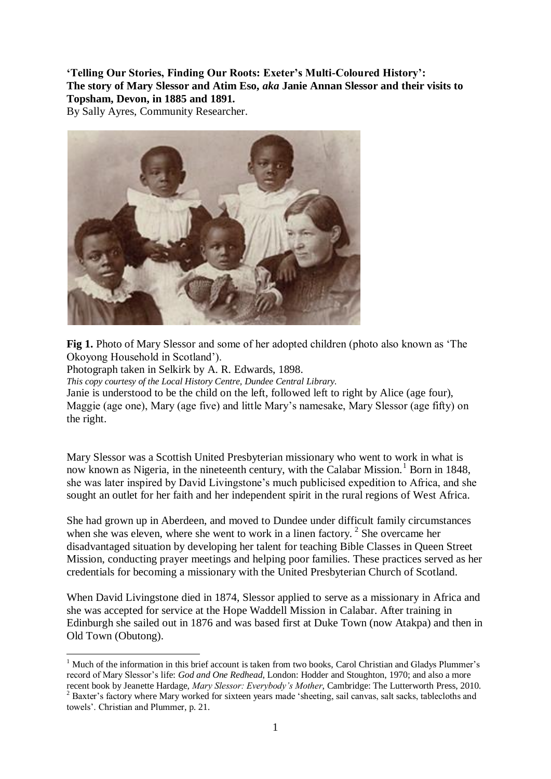**'Telling Our Stories, Finding Our Roots: Exeter's Multi-Coloured History': The story of Mary Slessor and Atim Eso,** *aka* **Janie Annan Slessor and their visits to Topsham, Devon, in 1885 and 1891.**

By Sally Ayres, Community Researcher.



**Fig 1.** Photo of Mary Slessor and some of her adopted children (photo also known as 'The Okoyong Household in Scotland').

Photograph taken in Selkirk by A. R. Edwards, 1898.

<u>.</u>

*This copy courtesy of the Local History Centre, Dundee Central Library.*

Janie is understood to be the child on the left, followed left to right by Alice (age four), Maggie (age one), Mary (age five) and little Mary's namesake, Mary Slessor (age fifty) on the right.

Mary Slessor was a Scottish United Presbyterian missionary who went to work in what is now known as Nigeria, in the nineteenth century, with the Calabar Mission.<sup>1</sup> Born in 1848, she was later inspired by David Livingstone's much publicised expedition to Africa, and she sought an outlet for her faith and her independent spirit in the rural regions of West Africa.

She had grown up in Aberdeen, and moved to Dundee under difficult family circumstances when she was eleven, where she went to work in a linen factory.<sup>2</sup> She overcame her disadvantaged situation by developing her talent for teaching Bible Classes in Queen Street Mission, conducting prayer meetings and helping poor families. These practices served as her credentials for becoming a missionary with the United Presbyterian Church of Scotland.

When David Livingstone died in 1874, Slessor applied to serve as a missionary in Africa and she was accepted for service at the Hope Waddell Mission in Calabar. After training in Edinburgh she sailed out in 1876 and was based first at Duke Town (now Atakpa) and then in Old Town (Obutong).

<sup>&</sup>lt;sup>1</sup> Much of the information in this brief account is taken from two books, Carol Christian and Gladys Plummer's record of Mary Slessor's life: *God and One Redhead*, London: Hodder and Stoughton, 1970; and also a more recent book by Jeanette Hardage, *Mary Slessor: Everybody's Mother*, Cambridge: The Lutterworth Press, 2010.

<sup>&</sup>lt;sup>2</sup> Baxter's factory where Mary worked for sixteen years made 'sheeting, sail canvas, salt sacks, tablecloths and towels'. Christian and Plummer, p. 21.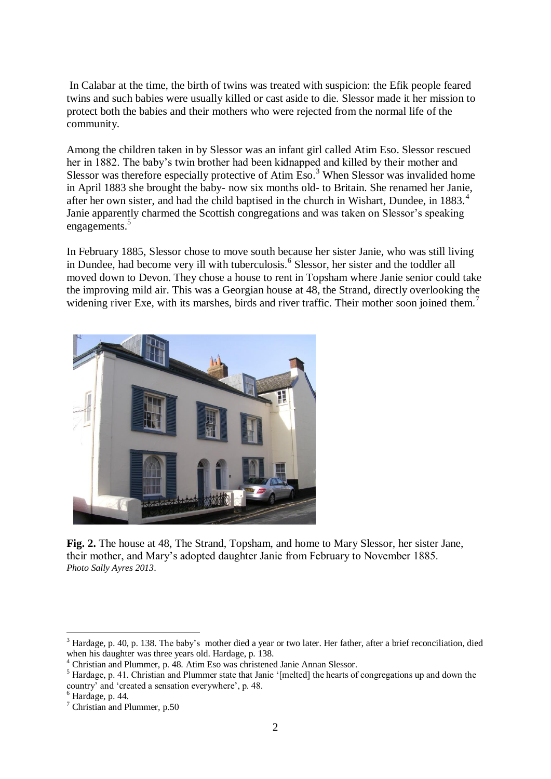In Calabar at the time, the birth of twins was treated with suspicion: the Efik people feared twins and such babies were usually killed or cast aside to die. Slessor made it her mission to protect both the babies and their mothers who were rejected from the normal life of the community.

Among the children taken in by Slessor was an infant girl called Atim Eso. Slessor rescued her in 1882. The baby's twin brother had been kidnapped and killed by their mother and Slessor was therefore especially protective of Atim  $\text{Eso.}^3$  When Slessor was invalided home in April 1883 she brought the baby- now six months old- to Britain. She renamed her Janie, after her own sister, and had the child baptised in the church in Wishart, Dundee, in 1883.<sup>4</sup> Janie apparently charmed the Scottish congregations and was taken on Slessor's speaking engagements.<sup>5</sup>

In February 1885, Slessor chose to move south because her sister Janie, who was still living in Dundee, had become very ill with tuberculosis.<sup>6</sup> Slessor, her sister and the toddler all moved down to Devon. They chose a house to rent in Topsham where Janie senior could take the improving mild air. This was a Georgian house at 48, the Strand, directly overlooking the widening river Exe, with its marshes, birds and river traffic. Their mother soon joined them.<sup>7</sup>



**Fig. 2.** The house at 48, The Strand, Topsham, and home to Mary Slessor, her sister Jane, their mother, and Mary's adopted daughter Janie from February to November 1885. *Photo Sally Ayres 2013*.

1

<sup>3</sup> Hardage, p. 40, p. 138. The baby's mother died a year or two later. Her father, after a brief reconciliation, died when his daughter was three years old. Hardage, p. 138.

<sup>4</sup> Christian and Plummer, p. 48. Atim Eso was christened Janie Annan Slessor.

<sup>5</sup> Hardage, p. 41. Christian and Plummer state that Janie '[melted] the hearts of congregations up and down the country' and 'created a sensation everywhere', p. 48.

 $6$  Hardage, p. 44.

<sup>7</sup> Christian and Plummer, p.50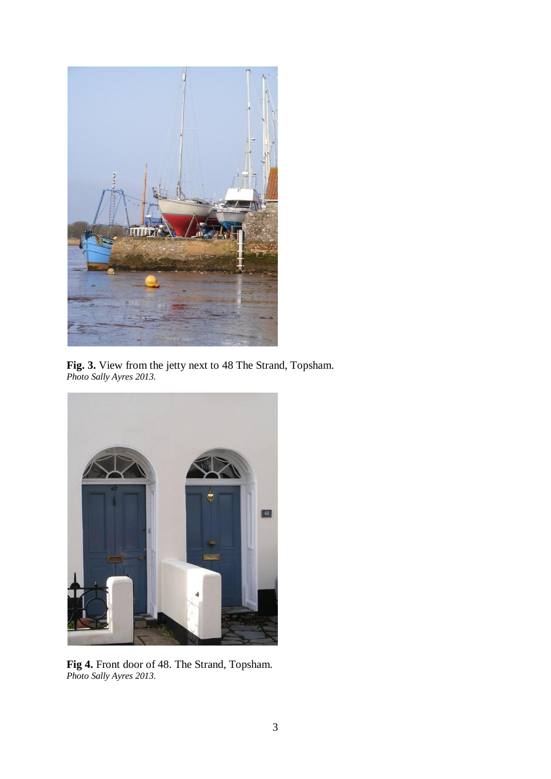

**Fig. 3.** View from the jetty next to 48 The Strand, Topsham. *Photo Sally Ayres 2013.*



**Fig 4.** Front door of 48. The Strand, Topsham. *Photo Sally Ayres 2013.*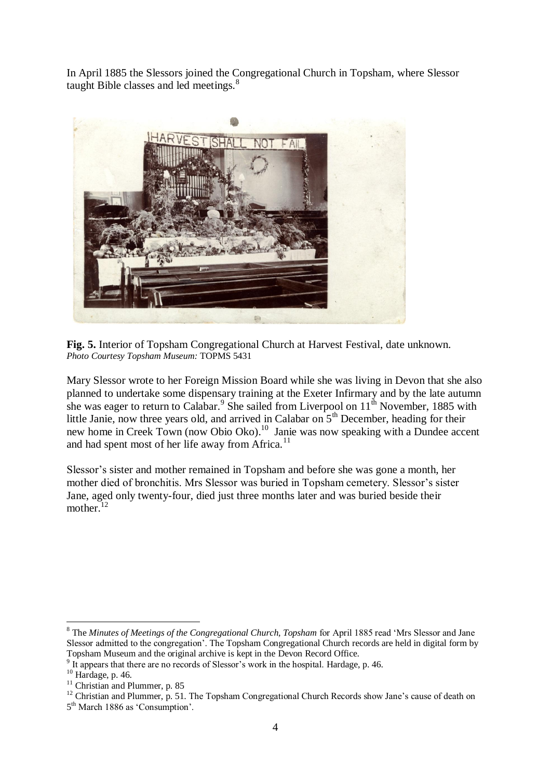In April 1885 the Slessors joined the Congregational Church in Topsham, where Slessor taught Bible classes and led meetings.<sup>8</sup>



**Fig. 5.** Interior of Topsham Congregational Church at Harvest Festival, date unknown. *Photo Courtesy Topsham Museum:* TOPMS 5431

Mary Slessor wrote to her Foreign Mission Board while she was living in Devon that she also planned to undertake some dispensary training at the Exeter Infirmary and by the late autumn she was eager to return to Calabar.<sup>9</sup> She sailed from Liverpool on  $11<sup>th</sup>$  November, 1885 with little Janie, now three years old, and arrived in Calabar on  $5<sup>th</sup>$  December, heading for their new home in Creek Town (now Obio Oko).<sup>10</sup> Janie was now speaking with a Dundee accent and had spent most of her life away from  $\widehat{A}$  frica.<sup>11</sup>

Slessor's sister and mother remained in Topsham and before she was gone a month, her mother died of bronchitis. Mrs Slessor was buried in Topsham cemetery. Slessor's sister Jane, aged only twenty-four, died just three months later and was buried beside their mother.<sup>12</sup>

<u>.</u>

<sup>8</sup> The *Minutes of Meetings of the Congregational Church, Topsham* for April 1885 read 'Mrs Slessor and Jane Slessor admitted to the congregation'. The Topsham Congregational Church records are held in digital form by Topsham Museum and the original archive is kept in the Devon Record Office.

<sup>&</sup>lt;sup>9</sup> It appears that there are no records of Slessor's work in the hospital. Hardage, p. 46.

<sup>10</sup> Hardage, p. 46.

<sup>&</sup>lt;sup>11</sup> Christian and Plummer, p. 85

<sup>&</sup>lt;sup>12</sup> Christian and Plummer, p. 51. The Topsham Congregational Church Records show Jane's cause of death on 5<sup>th</sup> March 1886 as 'Consumption'.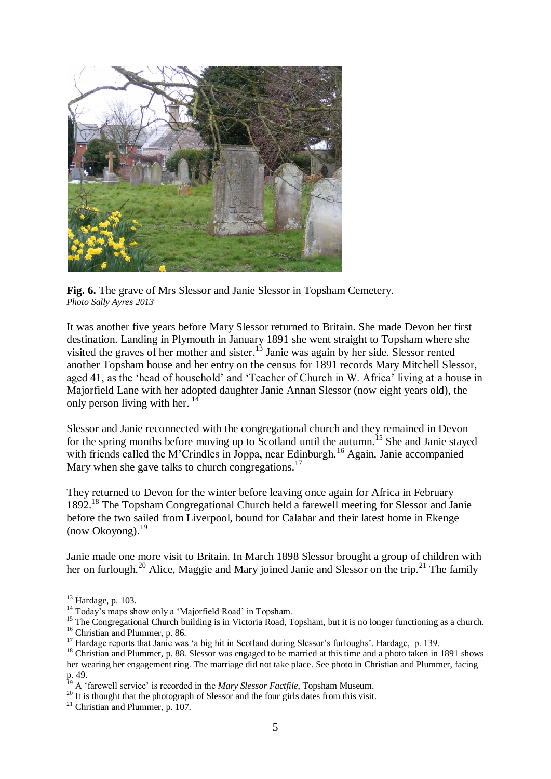

**Fig. 6.** The grave of Mrs Slessor and Janie Slessor in Topsham Cemetery. *Photo Sally Ayres 2013*

It was another five years before Mary Slessor returned to Britain. She made Devon her first destination. Landing in Plymouth in January 1891 she went straight to Topsham where she visited the graves of her mother and sister.<sup>13</sup> Janie was again by her side. Slessor rented another Topsham house and her entry on the census for 1891 records Mary Mitchell Slessor, aged 41, as the 'head of household' and 'Teacher of Church in W. Africa' living at a house in Majorfield Lane with her adopted daughter Janie Annan Slessor (now eight years old), the only person living with her.<sup>14</sup>

Slessor and Janie reconnected with the congregational church and they remained in Devon for the spring months before moving up to Scotland until the autumn.<sup>15</sup> She and Janie stayed with friends called the M'Crindles in Joppa, near Edinburgh.<sup>16</sup> Again, Janie accompanied Mary when she gave talks to church congregations.<sup>17</sup>

They returned to Devon for the winter before leaving once again for Africa in February 1892.<sup>18</sup> The Topsham Congregational Church held a farewell meeting for Slessor and Janie before the two sailed from Liverpool, bound for Calabar and their latest home in Ekenge  $(now Okovone)<sup>19</sup>$ 

Janie made one more visit to Britain. In March 1898 Slessor brought a group of children with her on furlough.<sup>20</sup> Alice, Maggie and Mary joined Janie and Slessor on the trip.<sup>21</sup> The family

1

<sup>13</sup> Hardage, p. 103.

<sup>&</sup>lt;sup>14</sup> Today's maps show only a 'Majorfield Road' in Topsham.

<sup>&</sup>lt;sup>15</sup> The Congregational Church building is in Victoria Road, Topsham, but it is no longer functioning as a church. <sup>16</sup> Christian and Plummer, p. 86.

<sup>&</sup>lt;sup>17</sup> Hardage reports that Janie was 'a big hit in Scotland during Slessor's furloughs'. Hardage, p. 139.

<sup>&</sup>lt;sup>18</sup> Christian and Plummer, p. 88. Slessor was engaged to be married at this time and a photo taken in 1891 shows her wearing her engagement ring. The marriage did not take place. See photo in Christian and Plummer, facing p. 49.

<sup>19</sup> A 'farewell service' is recorded in the *Mary Slessor Factfile*, Topsham Museum.

<sup>&</sup>lt;sup>20</sup> It is thought that the photograph of Slessor and the four girls dates from this visit.

 $21$  Christian and Plummer, p. 107.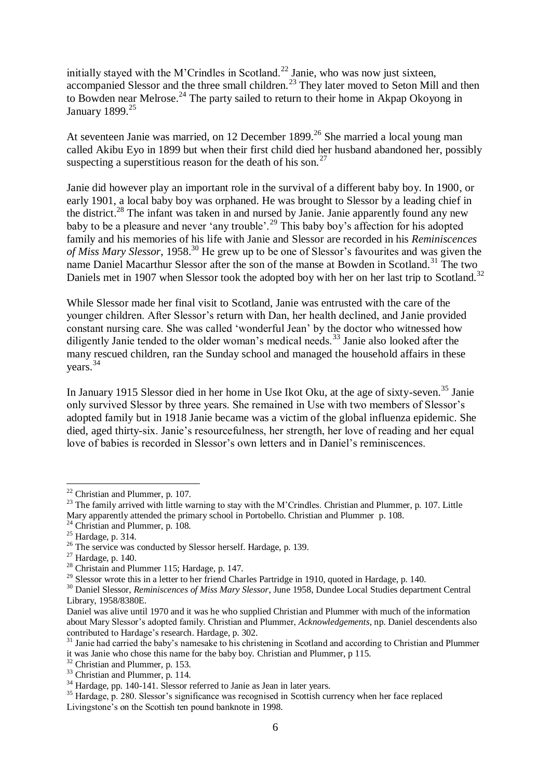initially stayed with the M'Crindles in Scotland.<sup>22</sup> Janie, who was now just sixteen, accompanied Slessor and the three small children.<sup>23</sup> They later moved to Seton Mill and then to Bowden near Melrose.<sup>24</sup> The party sailed to return to their home in Akpap Okoyong in January 1899. $25$ 

At seventeen Janie was married, on 12 December 1899.<sup>26</sup> She married a local young man called Akibu Eyo in 1899 but when their first child died her husband abandoned her, possibly suspecting a superstitious reason for the death of his son.<sup>27</sup>

Janie did however play an important role in the survival of a different baby boy. In 1900, or early 1901, a local baby boy was orphaned. He was brought to Slessor by a leading chief in the district.<sup>28</sup> The infant was taken in and nursed by Janie. Janie apparently found any new baby to be a pleasure and never 'any trouble'.<sup>29</sup> This baby boy's affection for his adopted family and his memories of his life with Janie and Slessor are recorded in his *Reminiscences of Miss Mary Slessor*, 1958.<sup>30</sup> He grew up to be one of Slessor's favourites and was given the name Daniel Macarthur Slessor after the son of the manse at Bowden in Scotland.<sup>31</sup> The two Daniels met in 1907 when Slessor took the adopted boy with her on her last trip to Scotland.<sup>32</sup>

While Slessor made her final visit to Scotland, Janie was entrusted with the care of the younger children. After Slessor's return with Dan, her health declined, and Janie provided constant nursing care. She was called 'wonderful Jean' by the doctor who witnessed how diligently Janie tended to the older woman's medical needs.<sup>33</sup> Janie also looked after the many rescued children, ran the Sunday school and managed the household affairs in these years. 34

In January 1915 Slessor died in her home in Use Ikot Oku, at the age of sixty-seven. <sup>35</sup> Janie only survived Slessor by three years. She remained in Use with two members of Slessor's adopted family but in 1918 Janie became was a victim of the global influenza epidemic. She died, aged thirty-six. Janie's resourcefulness, her strength, her love of reading and her equal love of babies is recorded in Slessor's own letters and in Daniel's reminiscences.

<u>.</u>

 $22$  Christian and Plummer, p. 107.

<sup>&</sup>lt;sup>23</sup> The family arrived with little warning to stay with the M'Crindles. Christian and Plummer, p. 107. Little Mary apparently attended the primary school in Portobello. Christian and Plummer p. 108.

<sup>&</sup>lt;sup>24</sup> Christian and Plummer, p. 108.

<sup>25</sup> Hardage, p. 314.

<sup>&</sup>lt;sup>26</sup> The service was conducted by Slessor herself. Hardage, p. 139.

 $27$  Hardage, p. 140.

<sup>&</sup>lt;sup>28</sup> Christain and Plummer 115; Hardage, p. 147.

<sup>&</sup>lt;sup>29</sup> Slessor wrote this in a letter to her friend Charles Partridge in 1910, quoted in Hardage, p. 140.

<sup>30</sup> Daniel Slessor, *Reminiscences of Miss Mary Slessor*, June 1958, Dundee Local Studies department Central Library, 1958/8380E.

Daniel was alive until 1970 and it was he who supplied Christian and Plummer with much of the information about Mary Slessor's adopted family. Christian and Plummer, *Acknowledgements*, np. Daniel descendents also contributed to Hardage's research. Hardage, p. 302.

<sup>&</sup>lt;sup>31</sup> Janie had carried the baby's namesake to his christening in Scotland and according to Christian and Plummer it was Janie who chose this name for the baby boy. Christian and Plummer, p 115.

<sup>32</sup> Christian and Plummer, p. 153.

<sup>&</sup>lt;sup>33</sup> Christian and Plummer, p. 114.

<sup>&</sup>lt;sup>34</sup> Hardage, pp. 140-141. Slessor referred to Janie as Jean in later years.

<sup>&</sup>lt;sup>35</sup> Hardage, p. 280. Slessor's significance was recognised in Scottish currency when her face replaced Livingstone's on the Scottish ten pound banknote in 1998.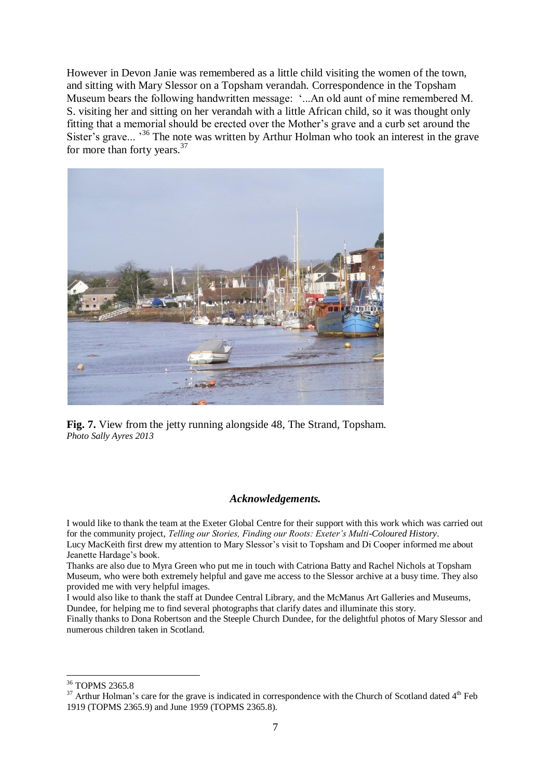However in Devon Janie was remembered as a little child visiting the women of the town, and sitting with Mary Slessor on a Topsham verandah. Correspondence in the Topsham Museum bears the following handwritten message: '...An old aunt of mine remembered M. S. visiting her and sitting on her verandah with a little African child, so it was thought only fitting that a memorial should be erected over the Mother's grave and a curb set around the Sister's grave...<sup>36</sup> The note was written by Arthur Holman who took an interest in the grave for more than forty years.<sup>37</sup>



**Fig. 7.** View from the jetty running alongside 48, The Strand, Topsham. *Photo Sally Ayres 2013*

## *Acknowledgements.*

I would like to thank the team at the Exeter Global Centre for their support with this work which was carried out for the community project, *Telling our Stories, Finding our Roots: Exeter's Multi-Coloured History*. Lucy MacKeith first drew my attention to Mary Slessor's visit to Topsham and Di Cooper informed me about Jeanette Hardage's book.

Thanks are also due to Myra Green who put me in touch with Catriona Batty and Rachel Nichols at Topsham Museum, who were both extremely helpful and gave me access to the Slessor archive at a busy time. They also provided me with very helpful images.

I would also like to thank the staff at Dundee Central Library, and the McManus Art Galleries and Museums, Dundee, for helping me to find several photographs that clarify dates and illuminate this story.

Finally thanks to Dona Robertson and the Steeple Church Dundee, for the delightful photos of Mary Slessor and numerous children taken in Scotland.

1

<sup>36</sup> TOPMS 2365.8

 $37$  Arthur Holman's care for the grave is indicated in correspondence with the Church of Scotland dated  $4<sup>th</sup>$  Feb 1919 (TOPMS 2365.9) and June 1959 (TOPMS 2365.8).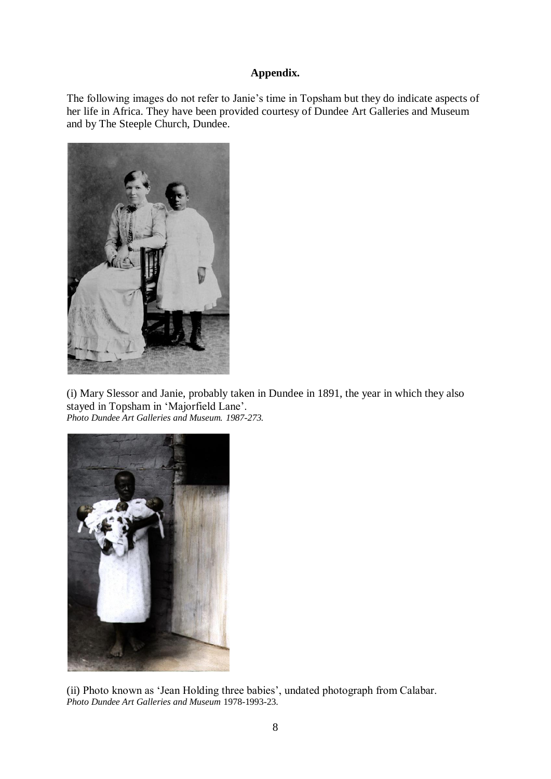## **Appendix.**

The following images do not refer to Janie's time in Topsham but they do indicate aspects of her life in Africa. They have been provided courtesy of Dundee Art Galleries and Museum and by The Steeple Church, Dundee.



(i) Mary Slessor and Janie, probably taken in Dundee in 1891, the year in which they also stayed in Topsham in 'Majorfield Lane'. *Photo Dundee Art Galleries and Museum. 1987-273.*



(ii) Photo known as 'Jean Holding three babies', undated photograph from Calabar. *Photo Dundee Art Galleries and Museum* 1978-1993-23.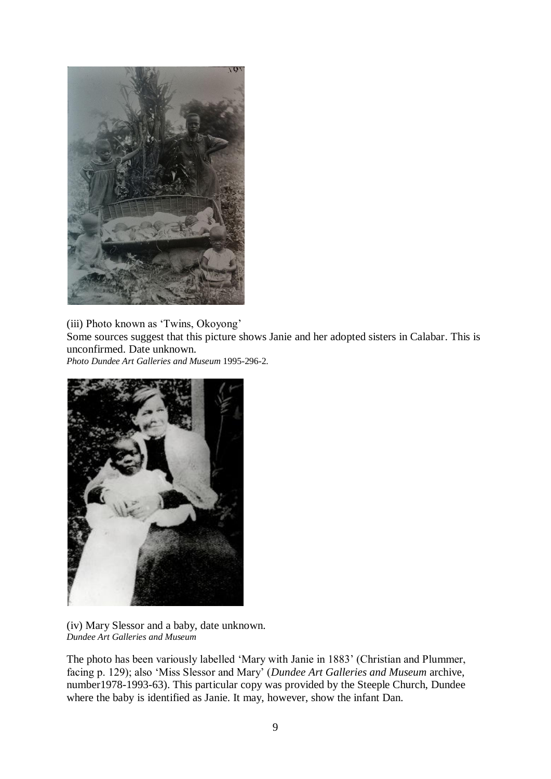

(iii) Photo known as 'Twins, Okoyong' Some sources suggest that this picture shows Janie and her adopted sisters in Calabar. This is unconfirmed. Date unknown.

*Photo Dundee Art Galleries and Museum* 1995-296-2.



(iv) Mary Slessor and a baby, date unknown. *Dundee Art Galleries and Museum*

The photo has been variously labelled 'Mary with Janie in 1883' (Christian and Plummer, facing p. 129); also 'Miss Slessor and Mary' (*Dundee Art Galleries and Museum* archive, number1978-1993-63). This particular copy was provided by the Steeple Church, Dundee where the baby is identified as Janie. It may, however, show the infant Dan.